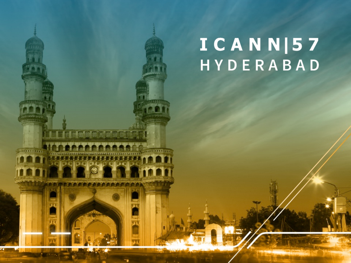# ICANN|57 HYDERABAD

アカナト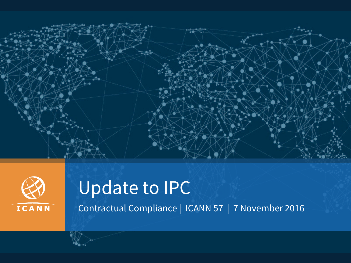



# Update to IPC

Contractual Compliance | ICANN 57 | 7 November 2016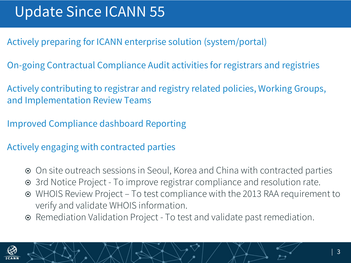- Actively preparing for ICANN enterprise solution (system/portal)
- On-going Contractual Compliance Audit activities for registrars and registries
- Actively contributing to registrar and registry related policies, Working Groups, and Implementation Review Teams
- Improved Compliance dashboard Reporting
- Actively engaging with contracted parties
	- **■** On site outreach sessions in Seoul, Korea and China with contracted parties
	- 3rd Notice Project To improve registrar compliance and resolution rate.
	- ¤ WHOIS Review Project To test compliance with the 2013 RAA requirement to verify and validate WHOIS information.
	- Remediation Validation Project To test and validate past remediation.

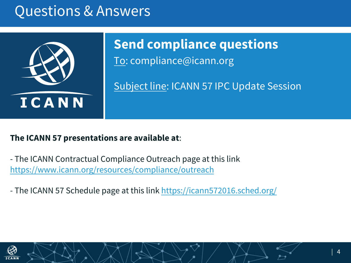#### Questions & Answers



To: compliance@icann.org **Send compliance questions**

Subject line: ICANN 57 IPC Update Session

#### **The ICANN 57 presentations are available at**:

- The ICANN Contractual Compliance Outreach page at this link https://www.icann.org/resources/compliance/outreach

- The ICANN 57 Schedule page at this link https://icann572016.sched.org/

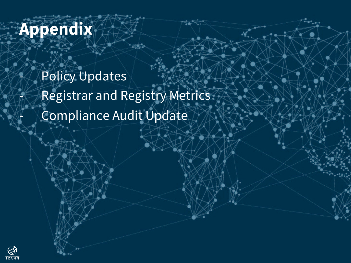## **Appendix**

Policy Updates Registrar and Registry Metrics Compliance Audit Update

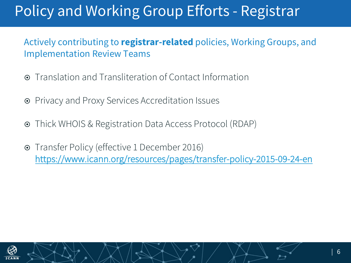### Policy and Working Group Efforts - Registrar

#### Actively contributing to **registrar-related** policies, Working Groups, and Implementation Review Teams

- Translation and Transliteration of Contact Information
- **■** Privacy and Proxy Services Accreditation Issues
- ¤ Thick WHOIS & Registration Data Access Protocol (RDAP)
- ¤ Transfer Policy (effective 1 December 2016) https://www.icann.org/resources/pages/transfer-policy-2015-09-24-en

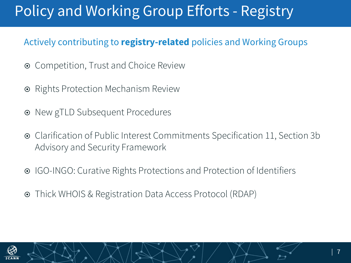### Policy and Working Group Efforts - Registry

#### Actively contributing to **registry-related** policies and Working Groups

- **■** Competition, Trust and Choice Review
- Rights Protection Mechanism Review
- New gTLD Subsequent Procedures
- ¤ Clarification of Public Interest Commitments Specification 11, Section 3b Advisory and Security Framework
- ¤ IGO-INGO: Curative Rights Protections and Protection of Identifiers
- ¤ Thick WHOIS & Registration Data Access Protocol (RDAP)

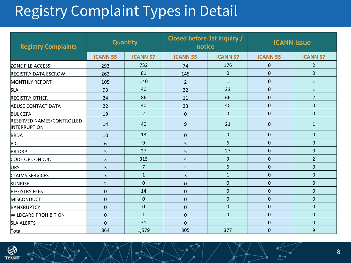### Registry Complaint Types in Detail

| <b>Registry Complaints</b>                       | <b>Quantity</b> |                 | Closed before 1st inquiry /<br>notice |                 | <b>ICANN Issue</b> |                 |
|--------------------------------------------------|-----------------|-----------------|---------------------------------------|-----------------|--------------------|-----------------|
|                                                  | <b>ICANN 55</b> | <b>ICANN 57</b> | <b>ICANN 55</b>                       | <b>ICANN 57</b> | <b>ICANN 55</b>    | <b>ICANN 57</b> |
| <b>ZONE FILE ACCESS</b>                          | 293             | 732             | 74                                    | 176             | $\mathbf 0$        | $\overline{2}$  |
| <b>REGISTRY DATA ESCROW</b>                      | 262             | 81              | 145                                   | $\mathbf 0$     | $\mathbf 0$        | $\mathbf 0$     |
| <b>MONTHLY REPORT</b>                            | 105             | 140             | $\overline{2}$                        | $\mathbf{1}$    | $\mathbf 0$        | $\mathbf{1}$    |
| <b>SLA</b>                                       | 93              | 40              | 22                                    | 23              | $\mathbf 0$        | $\mathbf{1}$    |
| <b>REGISTRY OTHER</b>                            | 24              | 86              | 11                                    | 66              | $\mathbf 0$        | $\overline{2}$  |
| <b>ABUSE CONTACT DATA</b>                        | 22              | 40              | 23                                    | 40              | $\mathbf 0$        | $\mathbf 0$     |
| <b>BULK ZFA</b>                                  | 19              | $\overline{2}$  | $\mathbf 0$                           | $\mathbf 0$     | $\mathbf 0$        | $\mathbf 0$     |
| RESERVED NAMES/CONTROLLED<br><b>INTERRUPTION</b> | 14              | 40              | 9                                     | 21              | $\mathbf 0$        | $\mathbf{1}$    |
| BRDA                                             | 10              | 13              | $\mathbf 0$                           | $\mathbf{0}$    | $\mathbf 0$        | $\mathbf 0$     |
| PIC                                              | $6\phantom{1}6$ | 9               | 5                                     | 6               | $\Omega$           | $\mathbf 0$     |
| <b>RR-DRP</b>                                    | 5               | 27              | 5                                     | 27              | $\mathbf 0$        | $\pmb{0}$       |
| CODE OF CONDUCT                                  | 3               | 315             | 4                                     | 9               | 0                  | $\overline{2}$  |
| <b>URS</b>                                       | $\overline{3}$  | $\overline{7}$  | $\overline{2}$                        | 6               | $\mathbf 0$        | $\mathbf 0$     |
| <b>CLAIMS SERVICES</b>                           | $\overline{3}$  | $\mathbf 1$     | 3                                     | $\mathbf{1}$    | $\mathbf 0$        | $\mathbf 0$     |
| <b>SUNRISE</b>                                   | $\overline{2}$  | $\pmb{0}$       | $\mathbf 0$                           | $\mathbf 0$     | $\mathbf 0$        | $\mathbf 0$     |
| <b>REGISTRY FEES</b>                             | $\mathbf 0$     | 14              | $\mathbf 0$                           | $\mathbf 0$     | $\mathbf{0}$       | $\mathbf 0$     |
| <b>MISCONDUCT</b>                                | $\mathbf 0$     | $\pmb{0}$       | $\mathbf 0$                           | $\mathbf 0$     | $\mathbf 0$        | $\mathbf 0$     |
| BANKRUPTCY                                       | $\Omega$        | $\mathbf 0$     | $\mathbf 0$                           | $\mathbf 0$     | $\mathbf 0$        | $\mathbf{0}$    |
| <b>WILDCARD PROHIBITION</b>                      | $\mathbf 0$     | $\mathbf{1}$    | $\mathbf 0$                           | $\mathbf 0$     | $\mathbf 0$        | $\mathbf 0$     |
| <b>SLA ALERTS</b>                                | $\mathbf 0$     | 31              | $\mathbf 0$                           | $\mathbf{1}$    | 0                  | $\pmb{0}$       |
| Total                                            | 864             | 1,579           | 305                                   | 377             | $\overline{0}$     | 9               |

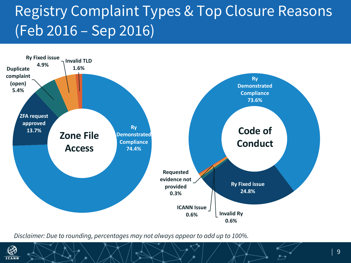### Registry Complaint Types & Top Closure Reasons (Feb 2016 – Sep 2016)



*Disclaimer: Due to rounding, percentages may not always appear to add up to 100%.*

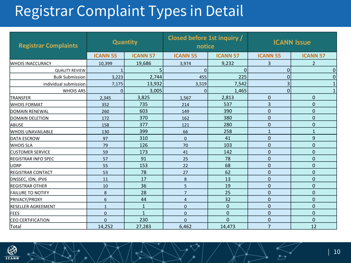#### Registrar Complaint Types in Detail

| <b>Registrar Complaints</b>                 | <b>Quantity</b>          |                 | Closed before 1st inquiry /<br>notice |                 | <b>ICANN Issue</b> |                 |  |
|---------------------------------------------|--------------------------|-----------------|---------------------------------------|-----------------|--------------------|-----------------|--|
|                                             | <b>ICANN 55</b>          | <b>ICANN 57</b> | <b>ICANN 55</b>                       | <b>ICANN 57</b> | <b>ICANN 55</b>    | <b>ICANN 57</b> |  |
| <b>WHOIS INACCURACY</b>                     | 10,399                   | 19,686          | 3,974                                 | 9,232           | 3                  | $\overline{2}$  |  |
| <b>QUALITY REVIEW</b>                       | $\mathbf{1}$             | 5               | 0<br>$\overline{0}$                   |                 | $\pmb{0}$          | 0               |  |
| <b>Bulk Submission</b>                      | 3,223                    | 2,744           | 455                                   | 225             | $\mathbf 0$        |                 |  |
| individual submission                       | 7,175                    | 13,932          | 7,542<br>3,519                        |                 | 3                  |                 |  |
| <b>WHOIS ARS</b>                            | 0                        | 3,005           | $\Omega$                              | 1,465           | 0                  |                 |  |
| <b>TRANSFER</b>                             | 2,345                    | 3,825           | 1,567                                 | 2,813           | 0                  | $\mathbf 0$     |  |
| <b>WHOIS FORMAT</b>                         | 352                      | 735             | 214                                   | 537             | 3                  | $\mathbf 0$     |  |
| DOMAIN RENEWAL                              | 260                      | 603             | 149                                   | 390             | 0                  | $\mathbf 0$     |  |
| <b>DOMAIN DELETION</b>                      | 172                      | 370             | 162                                   | 380             | 0                  | $\overline{0}$  |  |
| ABUSE                                       | 158                      | 377             | 280<br>121                            |                 | 0                  | $\mathbf 0$     |  |
| <b>WHOIS UNAVAILABLE</b>                    | 399<br>130               |                 | 258<br>66                             |                 | $\mathbf{1}$       | $\mathbf{1}$    |  |
| <b>IDATA ESCROW</b>                         | 97                       | 310             | 41<br>0                               |                 | $\mathbf 0$        | 9               |  |
| <b>WHOIS SLA</b>                            | 126<br>79                |                 | 70                                    | 103             | 0                  | $\mathbf 0$     |  |
| 59<br><b>CUSTOMER SERVICE</b>               |                          | 173             | 41                                    | 142             | 0                  | $\mathbf 0$     |  |
| <b>REGISTRAR INFO SPEC</b>                  | 91<br>57                 |                 | 78<br>25                              |                 | $\overline{0}$     | $\mathbf 0$     |  |
| <b>UDRP</b>                                 | 55                       | 153             | 68<br>22                              |                 | 0                  | $\mathbf 0$     |  |
| <b>REGISTRAR CONTACT</b>                    | 53                       | 78              | 27                                    | 62              | 0                  | $\mathbf 0$     |  |
| DNSSEC, IDN, IPV6                           | 11                       | 17              | $\bf 8$                               | 13              | $\mathbf 0$        | $\mathbf 0$     |  |
| <b>REGISTRAR OTHER</b>                      | 10                       | 36              | 5                                     | 19              | 0                  | $\mathbf 0$     |  |
| <b>FAILURE TO NOTIFY</b>                    | 8                        | 28              | $\overline{7}$                        | 25              | $\mathbf 0$        | $\mathbf 0$     |  |
| <b>PRIVACY/PROXY</b>                        | 6                        | 44              | 4                                     | 32              | $\mathbf 0$        | $\mathbf 0$     |  |
| <b>RESELLER AGREEMENT</b>                   | $\mathbf{1}$<br>1        |                 | 0                                     | $\mathbf 0$     | 0                  | $\mathbf 0$     |  |
| <b>FEES</b>                                 | $\mathbf{1}$<br>$\Omega$ |                 | $\mathbf 0$<br>0                      |                 | 0                  | $\mathbf 0$     |  |
| 230<br><b>CEO CERTIFICATION</b><br>$\Omega$ |                          | $\Omega$        | $\Omega$                              | 0               | $\overline{0}$     |                 |  |
| 14,252<br>27,283<br>Total                   |                          | 6,462           | 14,473                                | $\overline{7}$  | 12                 |                 |  |

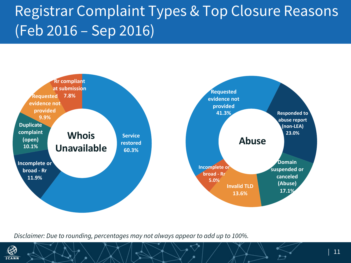### Registrar Complaint Types & Top Closure Reasons (Feb 2016 – Sep 2016)



*Disclaimer: Due to rounding, percentages may not always appear to add up to 100%.*

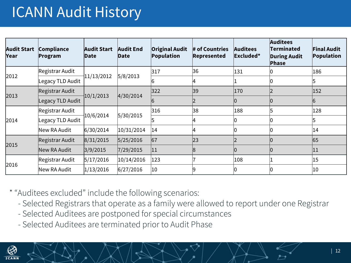#### ICANN Audit History

| <b>Audit Start</b><br>Year | Compliance<br>Program | <b>Audit Start</b><br>Date | <b>Audit End</b><br><b>Date</b> | <b>Original Audit</b><br>Population | $\#$ of Countries<br>Represented | <b>Auditees</b><br>Excluded* | <b>Auditees</b><br>Terminated<br><b>During Audit</b><br>Phase | <b>Final Audit</b><br>Population |
|----------------------------|-----------------------|----------------------------|---------------------------------|-------------------------------------|----------------------------------|------------------------------|---------------------------------------------------------------|----------------------------------|
| 2012                       | Registrar Audit       | 11/13/2012                 | 5/8/2013                        | 317                                 | 36                               | 131                          |                                                               | 186                              |
|                            | Legacy TLD Audit      |                            |                                 | 16                                  | 4                                |                              |                                                               | b.                               |
| 2013                       | Registrar Audit       | 10/1/2013                  | 4/30/2014                       | 322                                 | 39                               | 170                          |                                                               | 152                              |
|                            | Legacy TLD Audit      |                            |                                 | 6                                   |                                  | 10                           |                                                               | 6                                |
| 2014                       | Registrar Audit       | 10/6/2014                  | 5/30/2015                       | 316                                 | 38                               | 188                          | 15                                                            | 128                              |
|                            | Legacy TLD Audit      |                            |                                 | 5                                   | 4                                | 10                           |                                                               | 5                                |
|                            | New RA Audit          | 6/30/2014                  | 10/31/2014                      | 14                                  | 14                               |                              |                                                               | 14                               |
| 2015                       | Registrar Audit       | 8/31/2015                  | 5/25/2016                       | 67                                  | 23                               | 12                           |                                                               | 65                               |
|                            | New RA Audit          | 3/9/2015                   | 7/29/2015                       | 11                                  |                                  |                              |                                                               | 11                               |
| 2016                       | Registrar Audit       | 5/17/2016                  | 10/14/2016                      | 123                                 |                                  | 108                          |                                                               | 15                               |
|                            | New RA Audit          | 1/13/2016                  | 6/27/2016                       | 10                                  |                                  | 10                           |                                                               | 10                               |

\* "Auditees excluded" include the following scenarios:

- Selected Registrars that operate as a family were allowed to report under one Registrar
- Selected Auditees are postponed for special circumstances
- Selected Auditees are terminated prior to Audit Phase

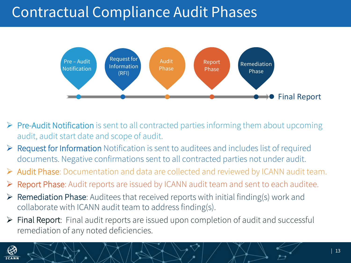#### Contractual Compliance Audit Phases



- $\triangleright$  Pre-Audit Notification is sent to all contracted parties informing them about upcoming audit, audit start date and scope of audit.
- $\triangleright$  Request for Information Notification is sent to auditees and includes list of required documents. Negative confirmations sent to all contracted parties not under audit.
- Ø Audit Phase: Documentation and data are collected and reviewed by ICANN audit team.
- Report Phase: Audit reports are issued by ICANN audit team and sent to each auditee.
- $\triangleright$  Remediation Phase: Auditees that received reports with initial finding(s) work and collaborate with ICANN audit team to address finding(s).
- $\triangleright$  Final Report: Final audit reports are issued upon completion of audit and successful remediation of any noted deficiencies.

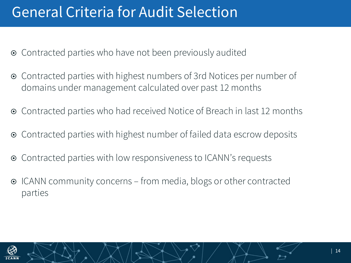#### General Criteria for Audit Selection

- Contracted parties who have not been previously audited
- **■** Contracted parties with highest numbers of 3rd Notices per number of domains under management calculated over past 12 months
- **■** Contracted parties who had received Notice of Breach in last 12 months
- **■** Contracted parties with highest number of failed data escrow deposits
- **■** Contracted parties with low responsiveness to ICANN's requests
- ICANN community concerns from media, blogs or other contracted parties